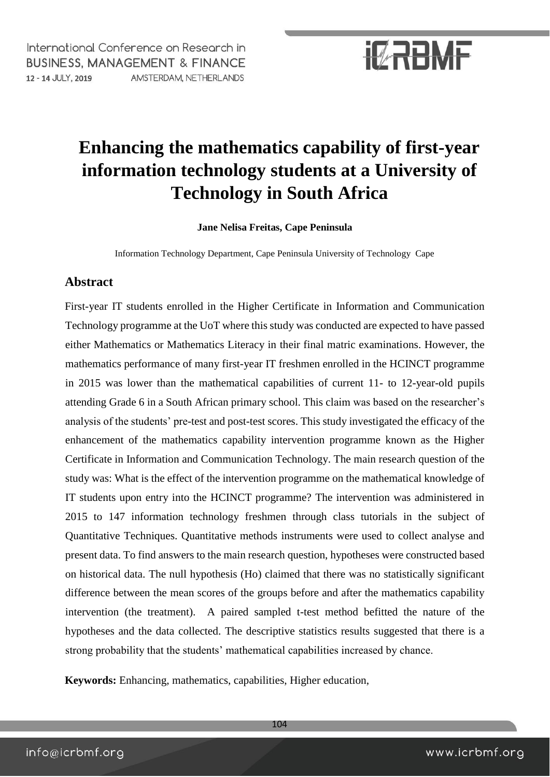International Conference on Research in **BUSINESS, MANAGEMENT & FINANCE** 12 - 14 JULY, 2019 AMSTERDAM, NETHERLANDS

# **IZRBMF**

### **Enhancing the mathematics capability of first-year information technology students at a University of Technology in South Africa**

**Jane Nelisa Freitas, Cape Peninsula**

Information Technology Department, Cape Peninsula University of Technology Cape

#### **Abstract**

First-year IT students enrolled in the Higher Certificate in Information and Communication Technology programme at the UoT where this study was conducted are expected to have passed either Mathematics or Mathematics Literacy in their final matric examinations. However, the mathematics performance of many first-year IT freshmen enrolled in the HCINCT programme in 2015 was lower than the mathematical capabilities of current 11- to 12-year-old pupils attending Grade 6 in a South African primary school. This claim was based on the researcher's analysis of the students' pre-test and post-test scores. This study investigated the efficacy of the enhancement of the mathematics capability intervention programme known as the Higher Certificate in Information and Communication Technology. The main research question of the study was: What is the effect of the intervention programme on the mathematical knowledge of IT students upon entry into the HCINCT programme? The intervention was administered in 2015 to 147 information technology freshmen through class tutorials in the subject of Quantitative Techniques. Quantitative methods instruments were used to collect analyse and present data. To find answers to the main research question, hypotheses were constructed based on historical data. The null hypothesis (Ho) claimed that there was no statistically significant difference between the mean scores of the groups before and after the mathematics capability intervention (the treatment). A paired sampled t-test method befitted the nature of the hypotheses and the data collected. The descriptive statistics results suggested that there is a strong probability that the students' mathematical capabilities increased by chance.

**Keywords:** Enhancing, mathematics, capabilities, Higher education,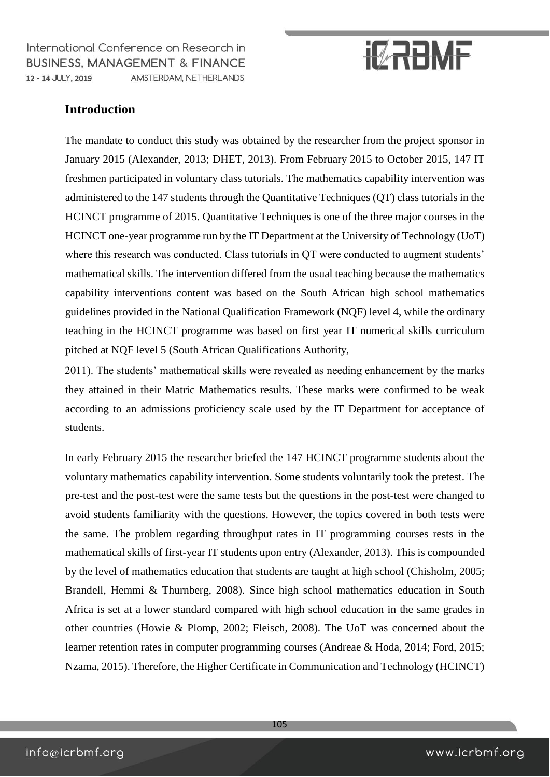International Conference on Research in **BUSINESS, MANAGEMENT & FINANCE** 12 - 14 JULY, 2019 AMSTERDAM, NETHERLANDS

# **IZRBMF**

### **Introduction**

The mandate to conduct this study was obtained by the researcher from the project sponsor in January 2015 (Alexander, 2013; DHET, 2013). From February 2015 to October 2015, 147 IT freshmen participated in voluntary class tutorials. The mathematics capability intervention was administered to the 147 students through the Quantitative Techniques (QT) class tutorials in the HCINCT programme of 2015. Quantitative Techniques is one of the three major courses in the HCINCT one-year programme run by the IT Department at the University of Technology (UoT) where this research was conducted. Class tutorials in QT were conducted to augment students' mathematical skills. The intervention differed from the usual teaching because the mathematics capability interventions content was based on the South African high school mathematics guidelines provided in the National Qualification Framework (NQF) level 4, while the ordinary teaching in the HCINCT programme was based on first year IT numerical skills curriculum pitched at NQF level 5 (South African Qualifications Authority,

2011). The students' mathematical skills were revealed as needing enhancement by the marks they attained in their Matric Mathematics results. These marks were confirmed to be weak according to an admissions proficiency scale used by the IT Department for acceptance of students.

In early February 2015 the researcher briefed the 147 HCINCT programme students about the voluntary mathematics capability intervention. Some students voluntarily took the pretest. The pre-test and the post-test were the same tests but the questions in the post-test were changed to avoid students familiarity with the questions. However, the topics covered in both tests were the same. The problem regarding throughput rates in IT programming courses rests in the mathematical skills of first-year IT students upon entry (Alexander, 2013). This is compounded by the level of mathematics education that students are taught at high school (Chisholm, 2005; Brandell, Hemmi & Thurnberg, 2008). Since high school mathematics education in South Africa is set at a lower standard compared with high school education in the same grades in other countries (Howie & Plomp, 2002; Fleisch, 2008). The UoT was concerned about the learner retention rates in computer programming courses (Andreae & Hoda, 2014; Ford, 2015; Nzama, 2015). Therefore, the Higher Certificate in Communication and Technology (HCINCT)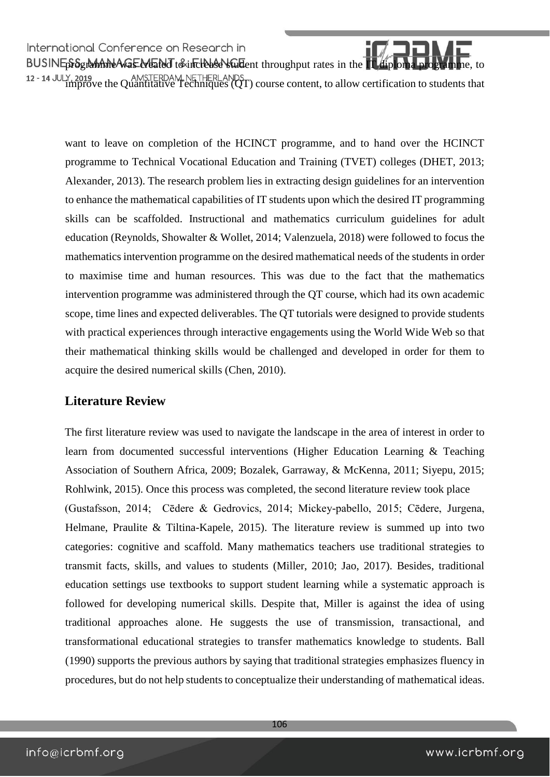International Conference on Research in programme was contented on the search in<br>programme was created to increase throughput rates in the IT diploma programme, to increase in the IT diploma<br>programme, to increase in the IT diploma programme, to increase in the improve the Quantitative Techniques (QT) course content, to allow certification to students that

want to leave on completion of the HCINCT programme, and to hand over the HCINCT programme to Technical Vocational Education and Training (TVET) colleges (DHET, 2013; Alexander, 2013). The research problem lies in extracting design guidelines for an intervention to enhance the mathematical capabilities of IT students upon which the desired IT programming skills can be scaffolded. Instructional and mathematics curriculum guidelines for adult education (Reynolds, Showalter & Wollet, 2014; Valenzuela, 2018) were followed to focus the mathematics intervention programme on the desired mathematical needs of the students in order to maximise time and human resources. This was due to the fact that the mathematics intervention programme was administered through the QT course, which had its own academic scope, time lines and expected deliverables. The QT tutorials were designed to provide students with practical experiences through interactive engagements using the World Wide Web so that their mathematical thinking skills would be challenged and developed in order for them to acquire the desired numerical skills (Chen, 2010).

#### **Literature Review**

The first literature review was used to navigate the landscape in the area of interest in order to learn from documented successful interventions (Higher Education Learning & Teaching Association of Southern Africa, 2009; Bozalek, Garraway, & McKenna, 2011; Siyepu, 2015; Rohlwink, 2015). Once this process was completed, the second literature review took place (Gustafsson, 2014; Cēdere & Gedrovics, 2014; Mickey-pabello, 2015; Cēdere, Jurgena, Helmane, Praulite & Tiltina-Kapele, 2015). The literature review is summed up into two categories: cognitive and scaffold. Many mathematics teachers use traditional strategies to transmit facts, skills, and values to students (Miller, 2010; Jao, 2017). Besides, traditional education settings use textbooks to support student learning while a systematic approach is followed for developing numerical skills. Despite that, Miller is against the idea of using traditional approaches alone. He suggests the use of transmission, transactional, and transformational educational strategies to transfer mathematics knowledge to students. Ball (1990) supports the previous authors by saying that traditional strategies emphasizes fluency in procedures, but do not help students to conceptualize their understanding of mathematical ideas.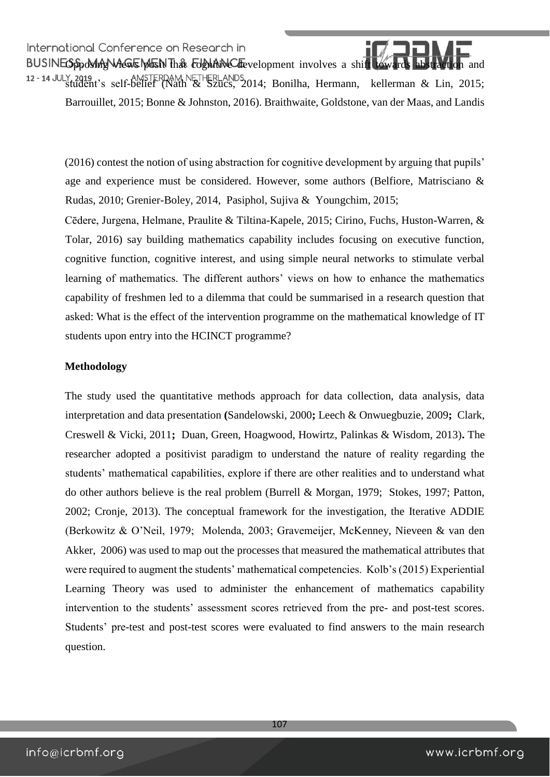International Conference on Research in<br>BUSINEO pool metals was well that commitmed the velopment involves a shift towards abstraction and student's self-belief (Nath & Szücs, 2014; Bonilha, Hermann, kellerman & Lin, 2015; Barrouillet, 2015; Bonne & Johnston, 2016). Braithwaite, Goldstone, van der Maas, and Landis

(2016) contest the notion of using abstraction for cognitive development by arguing that pupils' age and experience must be considered. However, some authors (Belfiore, Matrisciano & Rudas, 2010; Grenier-Boley, 2014, Pasiphol, Sujiva & Youngchim, 2015;

Cēdere, Jurgena, Helmane, Praulite & Tiltina-Kapele, 2015; Cirino, Fuchs, Huston-Warren, & Tolar, 2016) say building mathematics capability includes focusing on executive function, cognitive function, cognitive interest, and using simple neural networks to stimulate verbal learning of mathematics. The different authors' views on how to enhance the mathematics capability of freshmen led to a dilemma that could be summarised in a research question that asked: What is the effect of the intervention programme on the mathematical knowledge of IT students upon entry into the HCINCT programme?

#### **Methodology**

The study used the quantitative methods approach for data collection, data analysis, data interpretation and data presentation **(**Sandelowski, 2000**;** Leech & Onwuegbuzie, 2009**;** Clark, Creswell & Vicki, 2011**;** Duan, Green, Hoagwood, Howirtz, Palinkas & Wisdom, 2013)**.** The researcher adopted a positivist paradigm to understand the nature of reality regarding the students' mathematical capabilities, explore if there are other realities and to understand what do other authors believe is the real problem (Burrell & Morgan, 1979; Stokes, 1997; Patton, 2002; Cronje, 2013). The conceptual framework for the investigation, the Iterative ADDIE (Berkowitz & O'Neil, 1979; Molenda, 2003; Gravemeijer, McKenney, Nieveen & van den Akker, 2006) was used to map out the processes that measured the mathematical attributes that were required to augment the students' mathematical competencies. Kolb's (2015) Experiential Learning Theory was used to administer the enhancement of mathematics capability intervention to the students' assessment scores retrieved from the pre- and post-test scores. Students' pre-test and post-test scores were evaluated to find answers to the main research question.

107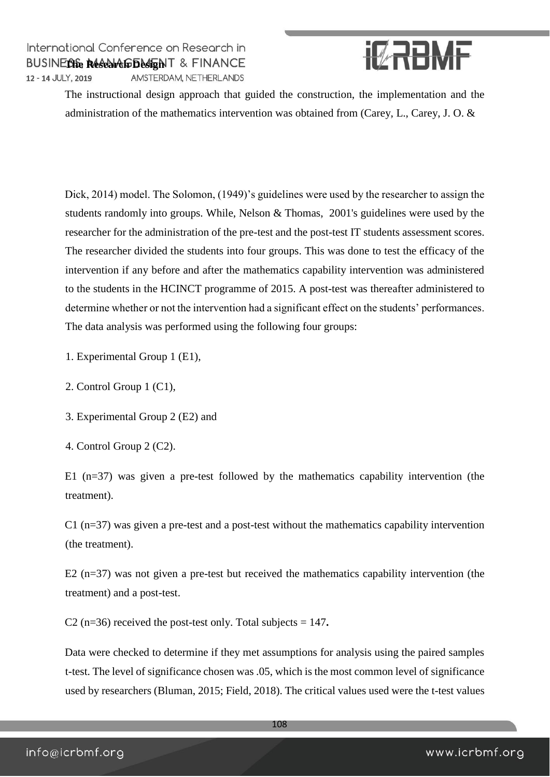

The instructional design approach that guided the construction, the implementation and the administration of the mathematics intervention was obtained from (Carey, L., Carey, J. O. &

Dick, 2014) model. The Solomon, (1949)'s guidelines were used by the researcher to assign the students randomly into groups. While, Nelson & Thomas, 2001's guidelines were used by the researcher for the administration of the pre-test and the post-test IT students assessment scores. The researcher divided the students into four groups. This was done to test the efficacy of the intervention if any before and after the mathematics capability intervention was administered to the students in the HCINCT programme of 2015. A post-test was thereafter administered to determine whether or not the intervention had a significant effect on the students' performances. The data analysis was performed using the following four groups:

- 1. Experimental Group 1 (E1),
- 2. Control Group 1 (C1),
- 3. Experimental Group 2 (E2) and
- 4. Control Group 2 (C2).

E1 (n=37) was given a pre-test followed by the mathematics capability intervention (the treatment).

 $C1$  (n=37) was given a pre-test and a post-test without the mathematics capability intervention (the treatment).

E2 (n=37) was not given a pre-test but received the mathematics capability intervention (the treatment) and a post-test.

C2 (n=36) received the post-test only. Total subjects = 147**.** 

Data were checked to determine if they met assumptions for analysis using the paired samples t-test. The level of significance chosen was .05, which is the most common level of significance used by researchers (Bluman, 2015; Field, 2018). The critical values used were the t-test values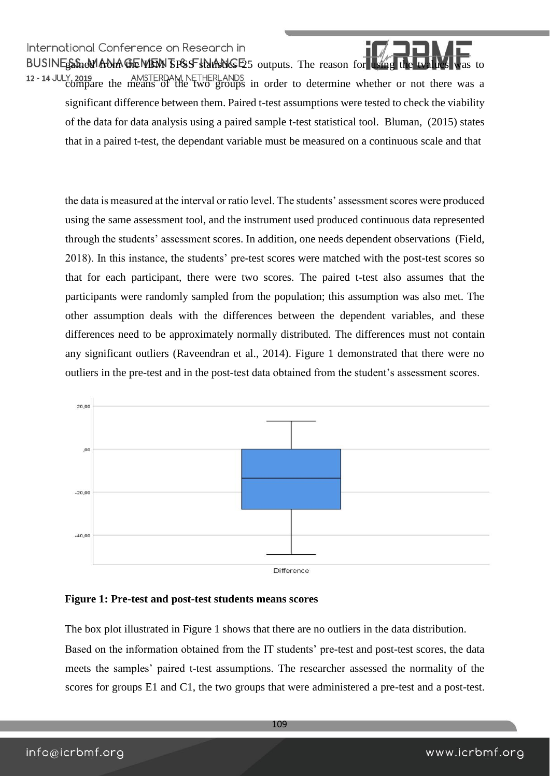International Conference on Research in BUSINE Stand from the INSTERENT SPSS statistics E5 outputs. The reason for using the two distances was to the twa 12 - 14 JULY, 2019<br>compare the means of the two groups in order to determine whether or not there was a significant difference between them. Paired t-test assumptions were tested to check the viability of the data for data analysis using a paired sample t-test statistical tool. Bluman, (2015) states that in a paired t-test, the dependant variable must be measured on a continuous scale and that

the data is measured at the interval or ratio level. The students' assessment scores were produced using the same assessment tool, and the instrument used produced continuous data represented through the students' assessment scores. In addition, one needs dependent observations (Field, 2018). In this instance, the students' pre-test scores were matched with the post-test scores so that for each participant, there were two scores. The paired t-test also assumes that the participants were randomly sampled from the population; this assumption was also met. The other assumption deals with the differences between the dependent variables, and these differences need to be approximately normally distributed. The differences must not contain any significant outliers (Raveendran et al., 2014). Figure 1 demonstrated that there were no outliers in the pre-test and in the post-test data obtained from the student's assessment scores.



#### **Figure 1: Pre-test and post-test students means scores**

The box plot illustrated in Figure 1 shows that there are no outliers in the data distribution. Based on the information obtained from the IT students' pre-test and post-test scores, the data meets the samples' paired t-test assumptions. The researcher assessed the normality of the scores for groups E1 and C1, the two groups that were administered a pre-test and a post-test.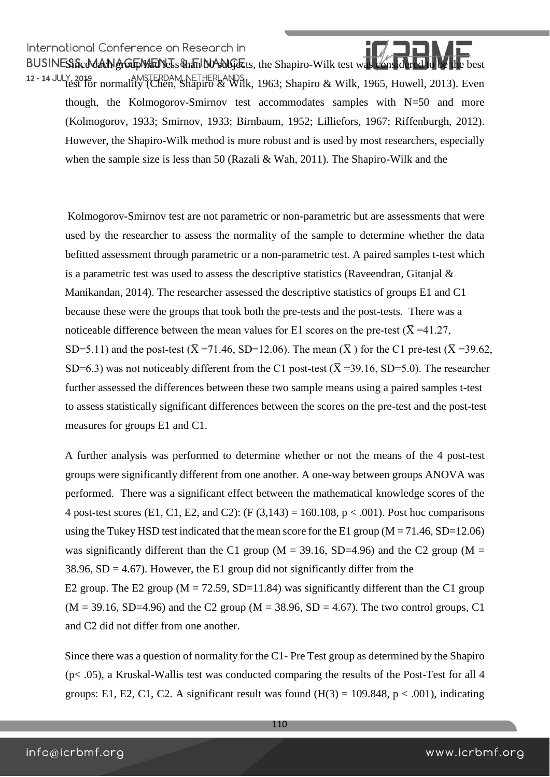International Conference on Research in International Conference on Research in<br>BUSINESSScddachlerGupMacNess&hanb00 subjects, the Shapiro-Wilk test was considered to

12 - 14 JULY, 2019<br>test for normality (Chen, Shapiro & Wilk, 1963; Shapiro & Wilk, 1965, Howell, 2013). Even though, the Kolmogorov-Smirnov test accommodates samples with N=50 and more (Kolmogorov, 1933; Smirnov, 1933; Birnbaum, 1952; Lilliefors, 1967; Riffenburgh, 2012). However, the Shapiro-Wilk method is more robust and is used by most researchers, especially when the sample size is less than 50 (Razali & Wah, 2011). The Shapiro-Wilk and the

Kolmogorov-Smirnov test are not parametric or non-parametric but are assessments that were used by the researcher to assess the normality of the sample to determine whether the data befitted assessment through parametric or a non-parametric test. A paired samples t-test which is a parametric test was used to assess the descriptive statistics (Raveendran, Gitanjal  $\&$ Manikandan, 2014). The researcher assessed the descriptive statistics of groups E1 and C1 because these were the groups that took both the pre-tests and the post-tests. There was a noticeable difference between the mean values for E1 scores on the pre-test ( $\overline{X}$  =41.27, SD=5.11) and the post-test ( $\bar{X}$  =71.46, SD=12.06). The mean ( $\bar{X}$ ) for the C1 pre-test ( $\bar{X}$  =39.62, SD=6.3) was not noticeably different from the C1 post-test ( $\overline{X}$  =39.16, SD=5.0). The researcher further assessed the differences between these two sample means using a paired samples t-test to assess statistically significant differences between the scores on the pre-test and the post-test measures for groups E1 and C1.

A further analysis was performed to determine whether or not the means of the 4 post-test groups were significantly different from one another. A one-way between groups ANOVA was performed. There was a significant effect between the mathematical knowledge scores of the 4 post-test scores (E1, C1, E2, and C2): (F  $(3,143) = 160.108$ , p < .001). Post hoc comparisons using the Tukey HSD test indicated that the mean score for the E1 group  $(M = 71.46, SD = 12.06)$ was significantly different than the C1 group ( $M = 39.16$ , SD=4.96) and the C2 group ( $M =$ 38.96,  $SD = 4.67$ ). However, the E1 group did not significantly differ from the E2 group. The E2 group ( $M = 72.59$ , SD=11.84) was significantly different than the C1 group  $(M = 39.16, SD=4.96)$  and the C2 group  $(M = 38.96, SD = 4.67)$ . The two control groups, C1

and C2 did not differ from one another.

Since there was a question of normality for the C1- Pre Test group as determined by the Shapiro  $(p<.05)$ , a Kruskal-Wallis test was conducted comparing the results of the Post-Test for all 4 groups: E1, E2, C1, C2. A significant result was found  $(H(3) = 109.848, p < .001)$ , indicating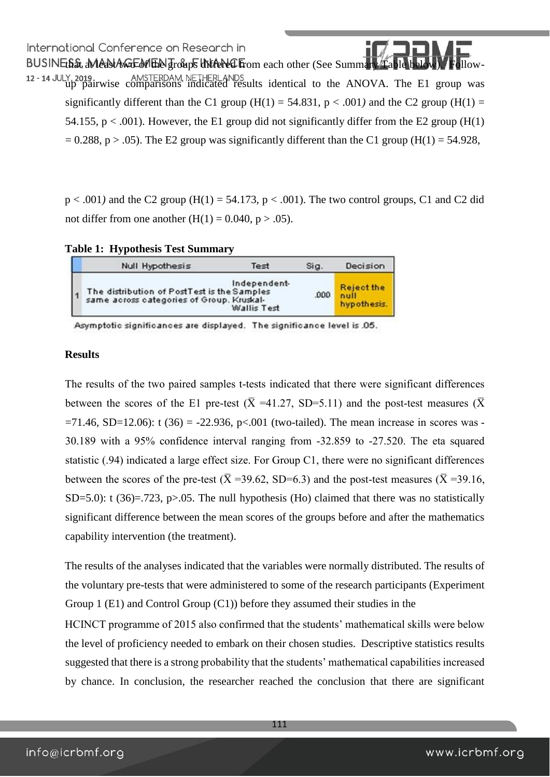BUSINEthat aMedstAweEdelthe groups differed from each other (See Summary Table b 12 - 14 JULY, 2019. AMSTERDAM, NETHERLANDS up pairwise comparisons indicated results identical to the ANOVA. The E1 group was significantly different than the C1 group ( $H(1) = 54.831$ ,  $p < .001$ ) and the C2 group ( $H(1) =$ 54.155,  $p < .001$ ). However, the E1 group did not significantly differ from the E2 group (H(1)  $= 0.288$ , p  $> 0.05$ ). The E2 group was significantly different than the C1 group (H(1) = 54.928,

 $p < .001$ ) and the C2 group (H(1) = 54.173,  $p < .001$ ). The two control groups, C1 and C2 did not differ from one another  $(H(1) = 0.040, p > .05)$ .

|  |  |  | <b>Table 1: Hypothesis Test Summary</b> |
|--|--|--|-----------------------------------------|
|--|--|--|-----------------------------------------|

| Null Hypothesis                                                                                                         | Test | Sig | Decision                                 |
|-------------------------------------------------------------------------------------------------------------------------|------|-----|------------------------------------------|
| Independent-<br>The distribution of PostTest is the Samples<br>same across categories of Group. Kruskal-<br>Wallis Test |      |     | <b>Reject the</b><br>null<br>hypothesis. |

Asymptotic significances are displayed. The significance level is .05.

#### **Results**

The results of the two paired samples t-tests indicated that there were significant differences between the scores of the E1 pre-test ( $\overline{X}$  =41.27, SD=5.11) and the post-test measures ( $\overline{X}$  $=71.46$ , SD=12.06): t (36) = -22.936, p<.001 (two-tailed). The mean increase in scores was -30.189 with a 95% confidence interval ranging from -32.859 to -27.520. The eta squared statistic (.94) indicated a large effect size. For Group C1, there were no significant differences between the scores of the pre-test ( $\bar{X}$  =39.62, SD=6.3) and the post-test measures ( $\bar{X}$  =39.16, SD=5.0): t (36)=.723, p>.05. The null hypothesis (Ho) claimed that there was no statistically significant difference between the mean scores of the groups before and after the mathematics capability intervention (the treatment).

The results of the analyses indicated that the variables were normally distributed. The results of the voluntary pre-tests that were administered to some of the research participants (Experiment Group 1 (E1) and Control Group (C1)) before they assumed their studies in the

HCINCT programme of 2015 also confirmed that the students' mathematical skills were below the level of proficiency needed to embark on their chosen studies. Descriptive statistics results suggested that there is a strong probability that the students' mathematical capabilities increased by chance. In conclusion, the researcher reached the conclusion that there are significant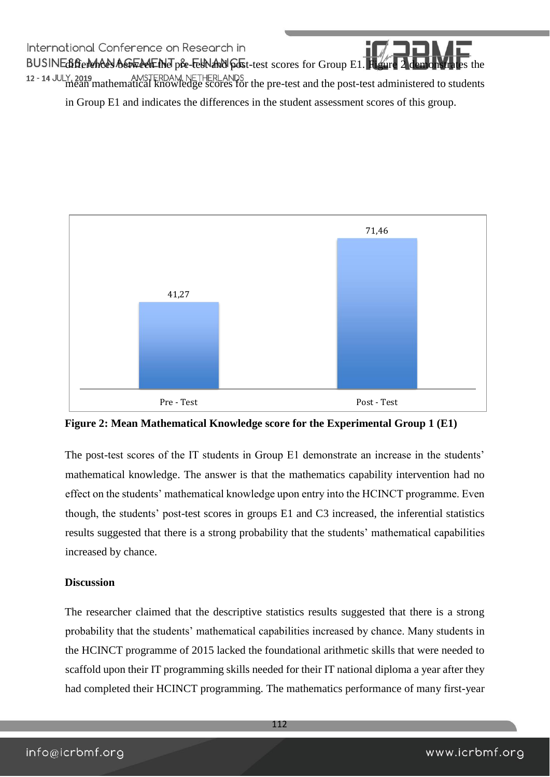International Conference on Research in BUSINEdifferences between the pre-test and post-test scores for Group E1. Figure 2 mean mathematical knowledge scores for the pre-test and the post-test administered to students in Group E1 and indicates the differences in the student assessment scores of this group.



**Figure 2: Mean Mathematical Knowledge score for the Experimental Group 1 (E1)** 

The post-test scores of the IT students in Group E1 demonstrate an increase in the students' mathematical knowledge. The answer is that the mathematics capability intervention had no effect on the students' mathematical knowledge upon entry into the HCINCT programme. Even though, the students' post-test scores in groups E1 and C3 increased, the inferential statistics results suggested that there is a strong probability that the students' mathematical capabilities increased by chance.

#### **Discussion**

The researcher claimed that the descriptive statistics results suggested that there is a strong probability that the students' mathematical capabilities increased by chance. Many students in the HCINCT programme of 2015 lacked the foundational arithmetic skills that were needed to scaffold upon their IT programming skills needed for their IT national diploma a year after they had completed their HCINCT programming. The mathematics performance of many first-year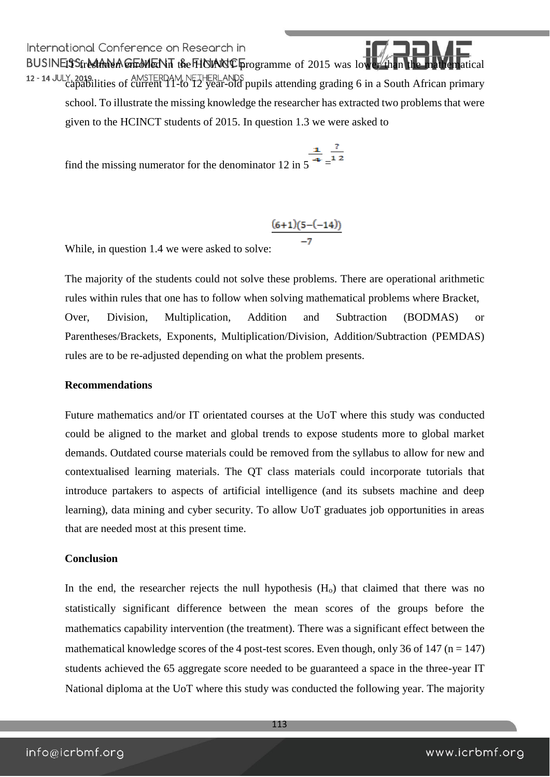BUSINES Street And A GEMENT the HOING Programme of 2015 was lower than the 12 - 14 JULY, 2019.<br>capabilities of current 11-to 12 year-old pupils attending grading 6 in a South African primary school. To illustrate the missing knowledge the researcher has extracted two problems that were given to the HCINCT students of 2015. In question 1.3 we were asked to

find the missing numerator for the denominator 12 in 5  $\overline{ }$  =  $\overline{ }$  =  $\overline{ }$  =

$$
\frac{(6+1)(5-(-14))}{-7}
$$

While, in question 1.4 we were asked to solve:

The majority of the students could not solve these problems. There are operational arithmetic rules within rules that one has to follow when solving mathematical problems where Bracket, Over, Division, Multiplication, Addition and Subtraction (BODMAS) or Parentheses/Brackets, Exponents, Multiplication/Division, Addition/Subtraction (PEMDAS) rules are to be re-adjusted depending on what the problem presents.

#### **Recommendations**

Future mathematics and/or IT orientated courses at the UoT where this study was conducted could be aligned to the market and global trends to expose students more to global market demands. Outdated course materials could be removed from the syllabus to allow for new and contextualised learning materials. The QT class materials could incorporate tutorials that introduce partakers to aspects of artificial intelligence (and its subsets machine and deep learning), data mining and cyber security. To allow UoT graduates job opportunities in areas that are needed most at this present time.

#### **Conclusion**

In the end, the researcher rejects the null hypothesis  $(H<sub>o</sub>)$  that claimed that there was no statistically significant difference between the mean scores of the groups before the mathematics capability intervention (the treatment). There was a significant effect between the mathematical knowledge scores of the 4 post-test scores. Even though, only 36 of 147 ( $n = 147$ ) students achieved the 65 aggregate score needed to be guaranteed a space in the three-year IT National diploma at the UoT where this study was conducted the following year. The majority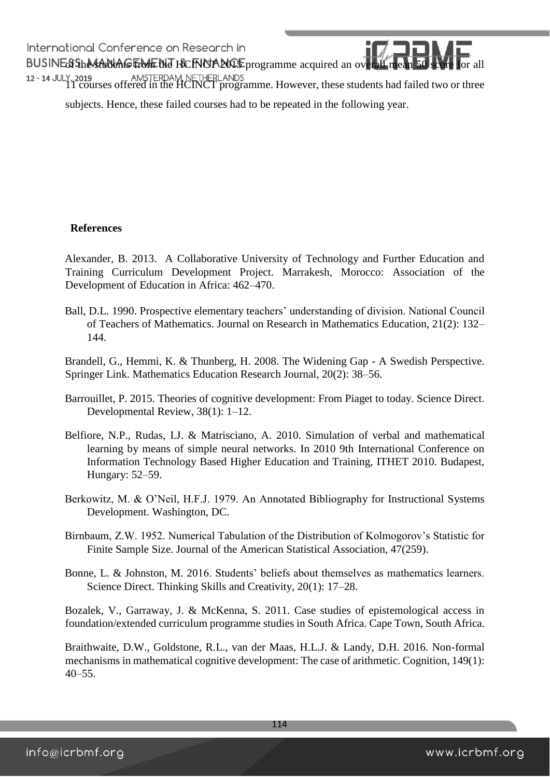of the students from the HCINCT 2015 programme acquired an overall mean 50 score for all 12 - 14 JULY, 2019<br>11 courses offered in the HCINCT programme. However, these students had failed two or three subjects. Hence, these failed courses had to be repeated in the following year.

#### **References**

Alexander, B. 2013. A Collaborative University of Technology and Further Education and Training Curriculum Development Project. Marrakesh, Morocco: Association of the Development of Education in Africa: 462–470.

Ball, D.L. 1990. Prospective elementary teachers' understanding of division. National Council of Teachers of Mathematics. Journal on Research in Mathematics Education, 21(2): 132– 144.

Brandell, G., Hemmi, K. & Thunberg, H. 2008. The Widening Gap - A Swedish Perspective. Springer Link. Mathematics Education Research Journal, 20(2): 38–56.

- Barrouillet, P. 2015. Theories of cognitive development: From Piaget to today. Science Direct. Developmental Review, 38(1): 1–12.
- Belfiore, N.P., Rudas, I.J. & Matrisciano, A. 2010. Simulation of verbal and mathematical learning by means of simple neural networks. In 2010 9th International Conference on Information Technology Based Higher Education and Training, ITHET 2010. Budapest, Hungary: 52–59.
- Berkowitz, M. & O'Neil, H.F.J. 1979. An Annotated Bibliography for Instructional Systems Development. Washington, DC.
- Birnbaum, Z.W. 1952. Numerical Tabulation of the Distribution of Kolmogorov's Statistic for Finite Sample Size. Journal of the American Statistical Association, 47(259).
- Bonne, L. & Johnston, M. 2016. Students' beliefs about themselves as mathematics learners. Science Direct. Thinking Skills and Creativity, 20(1): 17–28.

Bozalek, V., Garraway, J. & McKenna, S. 2011. Case studies of epistemological access in foundation/extended curriculum programme studies in South Africa. Cape Town, South Africa.

Braithwaite, D.W., Goldstone, R.L., van der Maas, H.L.J. & Landy, D.H. 2016. Non-formal mechanisms in mathematical cognitive development: The case of arithmetic. Cognition, 149(1): 40–55.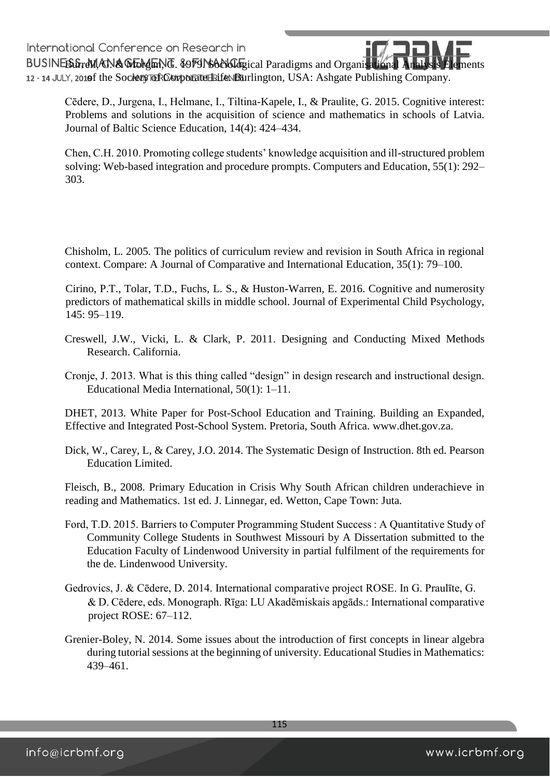BUSINES GreVI. AN & WELL AND . 8979 NSANGLE ical Paradigms and Organisational An 12 - 14 JULY, 2010f the Society Tor Comporate Leife. Burlington, USA: Ashgate Publishing Company.

Cēdere, D., Jurgena, I., Helmane, I., Tiltina-Kapele, I., & Praulite, G. 2015. Cognitive interest: Problems and solutions in the acquisition of science and mathematics in schools of Latvia. Journal of Baltic Science Education, 14(4): 424–434.

Chen, C.H. 2010. Promoting college students' knowledge acquisition and ill-structured problem solving: Web-based integration and procedure prompts. Computers and Education, 55(1): 292– 303.

Chisholm, L. 2005. The politics of curriculum review and revision in South Africa in regional context. Compare: A Journal of Comparative and International Education, 35(1): 79–100.

Cirino, P.T., Tolar, T.D., Fuchs, L. S., & Huston-Warren, E. 2016. Cognitive and numerosity predictors of mathematical skills in middle school. Journal of Experimental Child Psychology, 145: 95–119.

- Creswell, J.W., Vicki, L. & Clark, P. 2011. Designing and Conducting Mixed Methods Research. California.
- Cronje, J. 2013. What is this thing called "design" in design research and instructional design. Educational Media International, 50(1): 1–11.

DHET, 2013. White Paper for Post-School Education and Training. Building an Expanded, Effective and Integrated Post-School System. Pretoria, South Africa. [www.dhet.gov.za.](http://www.dhet.gov.za/)

Dick, W., Carey, L, & Carey, J.O. 2014. The Systematic Design of Instruction. 8th ed. Pearson Education Limited.

Fleisch, B., 2008. Primary Education in Crisis Why South African children underachieve in reading and Mathematics. 1st ed. J. Linnegar, ed. Wetton, Cape Town: Juta.

- Ford, T.D. 2015. Barriers to Computer Programming Student Success : A Quantitative Study of Community College Students in Southwest Missouri by A Dissertation submitted to the Education Faculty of Lindenwood University in partial fulfilment of the requirements for the de. Lindenwood University.
- Gedrovics, J. & Cēdere, D. 2014. International comparative project ROSE. In G. Praulīte, G. & D. Cēdere, eds. Monograph. Rīga: LU Akadēmiskais apgāds.: International comparative project ROSE: 67–112.
- Grenier-Boley, N. 2014. Some issues about the introduction of first concepts in linear algebra during tutorial sessions at the beginning of university. Educational Studies in Mathematics: 439–461.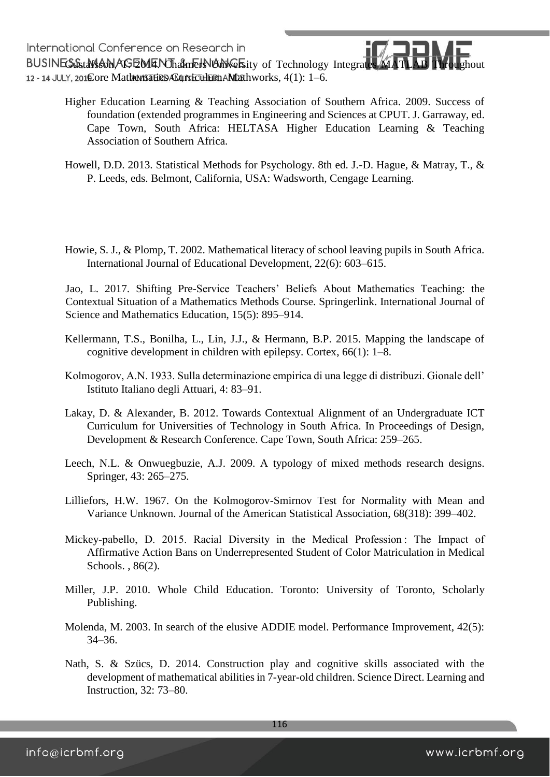International Conterence on Research in<br>BUSINEGGstafscon, AGEMENThamers University of Technology Integrates MATLAB Throughout 12 - 14 JULY, 2010 Ore Mathematics ACurriculum AMathworks, 4(1): 1-6.

- Higher Education Learning & Teaching Association of Southern Africa. 2009. Success of foundation (extended programmes in Engineering and Sciences at CPUT. J. Garraway, ed. Cape Town, South Africa: HELTASA Higher Education Learning & Teaching Association of Southern Africa.
- Howell, D.D. 2013. Statistical Methods for Psychology. 8th ed. J.-D. Hague, & Matray, T., & P. Leeds, eds. Belmont, California, USA: Wadsworth, Cengage Learning.
- Howie, S. J., & Plomp, T. 2002. Mathematical literacy of school leaving pupils in South Africa. International Journal of Educational Development, 22(6): 603–615.

Jao, L. 2017. Shifting Pre-Service Teachers' Beliefs About Mathematics Teaching: the Contextual Situation of a Mathematics Methods Course. Springerlink. International Journal of Science and Mathematics Education, 15(5): 895–914.

- Kellermann, T.S., Bonilha, L., Lin, J.J., & Hermann, B.P. 2015. Mapping the landscape of cognitive development in children with epilepsy. Cortex, 66(1): 1–8.
- Kolmogorov, A.N. 1933. Sulla determinazione empirica di una legge di distribuzi. Gionale dell' Istituto Italiano degli Attuari, 4: 83–91.
- Lakay, D. & Alexander, B. 2012. Towards Contextual Alignment of an Undergraduate ICT Curriculum for Universities of Technology in South Africa. In Proceedings of Design, Development & Research Conference. Cape Town, South Africa: 259–265.
- Leech, N.L. & Onwuegbuzie, A.J. 2009. A typology of mixed methods research designs. Springer, 43: 265–275.
- Lilliefors, H.W. 1967. On the Kolmogorov-Smirnov Test for Normality with Mean and Variance Unknown. Journal of the American Statistical Association, 68(318): 399–402.
- Mickey-pabello, D. 2015. Racial Diversity in the Medical Profession: The Impact of Affirmative Action Bans on Underrepresented Student of Color Matriculation in Medical Schools. , 86(2).
- Miller, J.P. 2010. Whole Child Education. Toronto: University of Toronto, Scholarly Publishing.
- Molenda, M. 2003. In search of the elusive ADDIE model. Performance Improvement, 42(5): 34–36.
- Nath, S. & Szücs, D. 2014. Construction play and cognitive skills associated with the development of mathematical abilities in 7-year-old children. Science Direct. Learning and Instruction, 32: 73–80.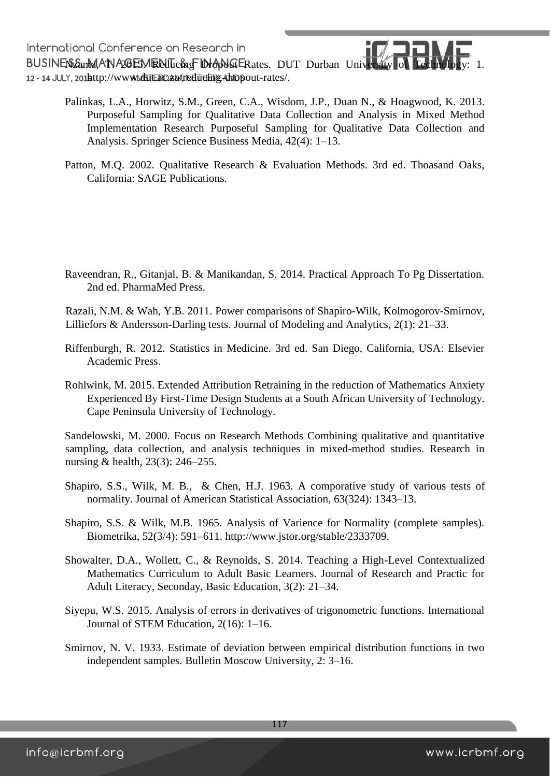International Conference on Research in International Conference on Research in<br>BUSINES EanMANA 2015 MRNillicing Dropole Rates. DUT Durban University of Technology: 1. 12 - 14 JULY, 201http://www.duttac.ac/adidding-Ariopout-rates/.

- Palinkas, L.A., Horwitz, S.M., Green, C.A., Wisdom, J.P., Duan N., & Hoagwood, K. 2013. Purposeful Sampling for Qualitative Data Collection and Analysis in Mixed Method Implementation Research Purposeful Sampling for Qualitative Data Collection and Analysis. Springer Science Business Media, 42(4): 1–13.
- Patton, M.Q. 2002. Qualitative Research & Evaluation Methods. 3rd ed. Thoasand Oaks, California: SAGE Publications.

Raveendran, R., Gitanjal, B. & Manikandan, S. 2014. Practical Approach To Pg Dissertation. 2nd ed. PharmaMed Press.

Razali, N.M. & Wah, Y.B. 2011. Power comparisons of Shapiro-Wilk, Kolmogorov-Smirnov, Lilliefors & Andersson-Darling tests. Journal of Modeling and Analytics, 2(1): 21–33.

- Riffenburgh, R. 2012. Statistics in Medicine. 3rd ed. San Diego, California, USA: Elsevier Academic Press.
- Rohlwink, M. 2015. Extended Attribution Retraining in the reduction of Mathematics Anxiety Experienced By First-Time Design Students at a South African University of Technology. Cape Peninsula University of Technology.

Sandelowski, M. 2000. Focus on Research Methods Combining qualitative and quantitative sampling, data collection, and analysis techniques in mixed-method studies. Research in nursing & health, 23(3): 246–255.

- Shapiro, S.S., Wilk, M. B., & Chen, H.J. 1963. A comporative study of various tests of normality. Journal of American Statistical Association, 63(324): 1343–13.
- Shapiro, S.S. & Wilk, M.B. 1965. Analysis of Varience for Normality (complete samples). Biometrika, 52(3/4): 591–611. http://www.jstor.org/stable/2333709.
- Showalter, D.A., Wollett, C., & Reynolds, S. 2014. Teaching a High-Level Contextualized Mathematics Curriculum to Adult Basic Learners. Journal of Research and Practic for Adult Literacy, Seconday, Basic Education, 3(2): 21–34.
- Siyepu, W.S. 2015. Analysis of errors in derivatives of trigonometric functions. International Journal of STEM Education, 2(16): 1–16.
- Smirnov, N. V. 1933. Estimate of deviation between empirical distribution functions in two independent samples. Bulletin Moscow University, 2: 3–16.